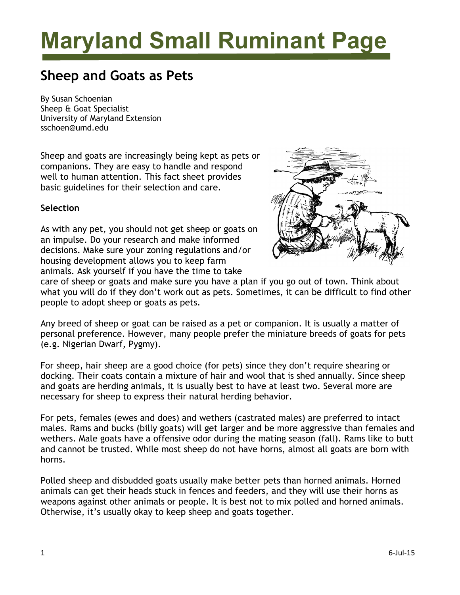# **Maryland Small Ruminant Page**

# **Sheep and Goats as Pets**

By Susan Schoenian Sheep & Goat Specialist University of Maryland Extension sschoen@umd.edu

Sheep and goats are increasingly being kept as pets or companions. They are easy to handle and respond well to human attention. This fact sheet provides basic guidelines for their selection and care.

# **Selection**

As with any pet, you should not get sheep or goats on an impulse. Do your research and make informed decisions. Make sure your zoning regulations and/or housing development allows you to keep farm animals. Ask yourself if you have the time to take



care of sheep or goats and make sure you have a plan if you go out of town. Think about what you will do if they don't work out as pets. Sometimes, it can be difficult to find other people to adopt sheep or goats as pets.

Any breed of sheep or goat can be raised as a pet or companion. It is usually a matter of personal preference. However, many people prefer the miniature breeds of goats for pets (e.g. Nigerian Dwarf, Pygmy).

For sheep, hair sheep are a good choice (for pets) since they don't require shearing or docking. Their coats contain a mixture of hair and wool that is shed annually. Since sheep and goats are herding animals, it is usually best to have at least two. Several more are necessary for sheep to express their natural herding behavior.

For pets, females (ewes and does) and wethers (castrated males) are preferred to intact males. Rams and bucks (billy goats) will get larger and be more aggressive than females and wethers. Male goats have a offensive odor during the mating season (fall). Rams like to butt and cannot be trusted. While most sheep do not have horns, almost all goats are born with horns.

Polled sheep and disbudded goats usually make better pets than horned animals. Horned animals can get their heads stuck in fences and feeders, and they will use their horns as weapons against other animals or people. It is best not to mix polled and horned animals. Otherwise, it's usually okay to keep sheep and goats together.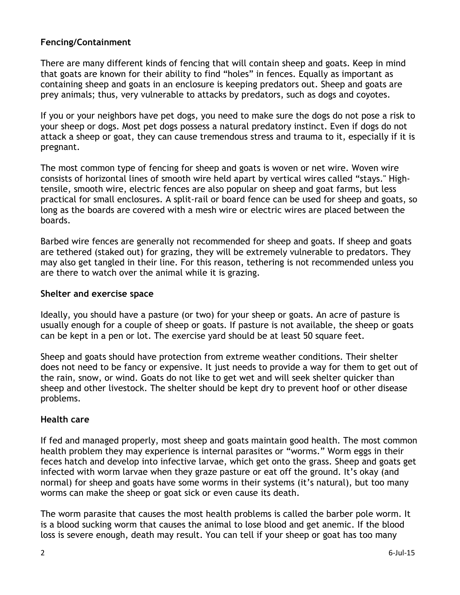# **Fencing/Containment**

There are many different kinds of fencing that will contain sheep and goats. Keep in mind that goats are known for their ability to find "holes" in fences. Equally as important as containing sheep and goats in an enclosure is keeping predators out. Sheep and goats are prey animals; thus, very vulnerable to attacks by predators, such as dogs and coyotes.

If you or your neighbors have pet dogs, you need to make sure the dogs do not pose a risk to your sheep or dogs. Most pet dogs possess a natural predatory instinct. Even if dogs do not attack a sheep or goat, they can cause tremendous stress and trauma to it, especially if it is pregnant.

The most common type of fencing for sheep and goats is woven or net wire. Woven wire consists of horizontal lines of smooth wire held apart by vertical wires called "stays." Hightensile, smooth wire, electric fences are also popular on sheep and goat farms, but less practical for small enclosures. A split-rail or board fence can be used for sheep and goats, so long as the boards are covered with a mesh wire or electric wires are placed between the boards.

Barbed wire fences are generally not recommended for sheep and goats. If sheep and goats are tethered (staked out) for grazing, they will be extremely vulnerable to predators. They may also get tangled in their line. For this reason, tethering is not recommended unless you are there to watch over the animal while it is grazing.

#### **Shelter and exercise space**

Ideally, you should have a pasture (or two) for your sheep or goats. An acre of pasture is usually enough for a couple of sheep or goats. If pasture is not available, the sheep or goats can be kept in a pen or lot. The exercise yard should be at least 50 square feet.

Sheep and goats should have protection from extreme weather conditions. Their shelter does not need to be fancy or expensive. It just needs to provide a way for them to get out of the rain, snow, or wind. Goats do not like to get wet and will seek shelter quicker than sheep and other livestock. The shelter should be kept dry to prevent hoof or other disease problems.

#### **Health care**

If fed and managed properly, most sheep and goats maintain good health. The most common health problem they may experience is internal parasites or "worms." Worm eggs in their feces hatch and develop into infective larvae, which get onto the grass. Sheep and goats get infected with worm larvae when they graze pasture or eat off the ground. It's okay (and normal) for sheep and goats have some worms in their systems (it's natural), but too many worms can make the sheep or goat sick or even cause its death.

The worm parasite that causes the most health problems is called the barber pole worm. It is a blood sucking worm that causes the animal to lose blood and get anemic. If the blood loss is severe enough, death may result. You can tell if your sheep or goat has too many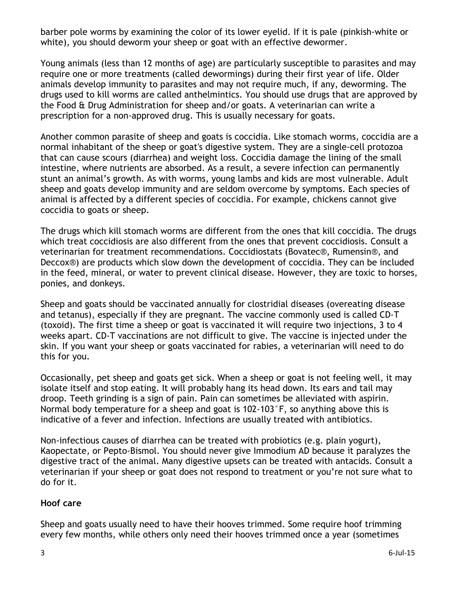barber pole worms by examining the color of its lower eyelid. If it is pale (pinkish-white or white), you should deworm your sheep or goat with an effective dewormer.

Young animals (less than 12 months of age) are particularly susceptible to parasites and may require one or more treatments (called dewormings) during their first year of life. Older animals develop immunity to parasites and may not require much, if any, deworming. The drugs used to kill worms are called anthelmintics. You should use drugs that are approved by the Food & Drug Administration for sheep and/or goats. A veterinarian can write a prescription for a non-approved drug. This is usually necessary for goats.

Another common parasite of sheep and goats is coccidia. Like stomach worms, coccidia are a normal inhabitant of the sheep or goat's digestive system. They are a single-cell protozoa that can cause scours (diarrhea) and weight loss. Coccidia damage the lining of the small intestine, where nutrients are absorbed. As a result, a severe infection can permanently stunt an animal's growth. As with worms, young lambs and kids are most vulnerable. Adult sheep and goats develop immunity and are seldom overcome by symptoms. Each species of animal is affected by a different species of coccidia. For example, chickens cannot give coccidia to goats or sheep.

The drugs which kill stomach worms are different from the ones that kill coccidia. The drugs which treat coccidiosis are also different from the ones that prevent coccidiosis. Consult a veterinarian for treatment recommendations. Coccidiostats (Bovatec®, Rumensin®, and Deccox®) are products which slow down the development of coccidia. They can be included in the feed, mineral, or water to prevent clinical disease. However, they are toxic to horses, ponies, and donkeys.

Sheep and goats should be vaccinated annually for clostridial diseases (overeating disease and tetanus), especially if they are pregnant. The vaccine commonly used is called CD-T (toxoid). The first time a sheep or goat is vaccinated it will require two injections, 3 to 4 weeks apart. CD-T vaccinations are not difficult to give. The vaccine is injected under the skin. If you want your sheep or goats vaccinated for rabies, a veterinarian will need to do this for you.

Occasionally, pet sheep and goats get sick. When a sheep or goat is not feeling well, it may isolate itself and stop eating. It will probably hang its head down. Its ears and tail may droop. Teeth grinding is a sign of pain. Pain can sometimes be alleviated with aspirin. Normal body temperature for a sheep and goat is 102-103°F, so anything above this is indicative of a fever and infection. Infections are usually treated with antibiotics.

Non-infectious causes of diarrhea can be treated with probiotics (e.g. plain yogurt), Kaopectate, or Pepto-Bismol. You should never give Immodium AD because it paralyzes the digestive tract of the animal. Many digestive upsets can be treated with antacids. Consult a veterinarian if your sheep or goat does not respond to treatment or you're not sure what to do for it.

# **Hoof care**

Sheep and goats usually need to have their hooves trimmed. Some require hoof trimming every few months, while others only need their hooves trimmed once a year (sometimes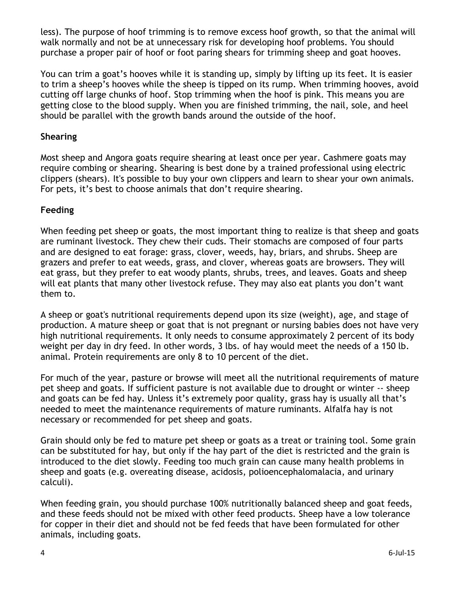less). The purpose of hoof trimming is to remove excess hoof growth, so that the animal will walk normally and not be at unnecessary risk for developing hoof problems. You should purchase a proper pair of hoof or foot paring shears for trimming sheep and goat hooves.

You can trim a goat's hooves while it is standing up, simply by lifting up its feet. It is easier to trim a sheep's hooves while the sheep is tipped on its rump. When trimming hooves, avoid cutting off large chunks of hoof. Stop trimming when the hoof is pink. This means you are getting close to the blood supply. When you are finished trimming, the nail, sole, and heel should be parallel with the growth bands around the outside of the hoof.

# **Shearing**

Most sheep and Angora goats require shearing at least once per year. Cashmere goats may require combing or shearing. Shearing is best done by a trained professional using electric clippers (shears). It's possible to buy your own clippers and learn to shear your own animals. For pets, it's best to choose animals that don't require shearing.

# **Feeding**

When feeding pet sheep or goats, the most important thing to realize is that sheep and goats are ruminant livestock. They chew their cuds. Their stomachs are composed of four parts and are designed to eat forage: grass, clover, weeds, hay, briars, and shrubs. Sheep are grazers and prefer to eat weeds, grass, and clover, whereas goats are browsers. They will eat grass, but they prefer to eat woody plants, shrubs, trees, and leaves. Goats and sheep will eat plants that many other livestock refuse. They may also eat plants you don't want them to.

A sheep or goat's nutritional requirements depend upon its size (weight), age, and stage of production. A mature sheep or goat that is not pregnant or nursing babies does not have very high nutritional requirements. It only needs to consume approximately 2 percent of its body weight per day in dry feed. In other words, 3 lbs. of hay would meet the needs of a 150 lb. animal. Protein requirements are only 8 to 10 percent of the diet.

For much of the year, pasture or browse will meet all the nutritional requirements of mature pet sheep and goats. If sufficient pasture is not available due to drought or winter -- sheep and goats can be fed hay. Unless it's extremely poor quality, grass hay is usually all that's needed to meet the maintenance requirements of mature ruminants. Alfalfa hay is not necessary or recommended for pet sheep and goats.

Grain should only be fed to mature pet sheep or goats as a treat or training tool. Some grain can be substituted for hay, but only if the hay part of the diet is restricted and the grain is introduced to the diet slowly. Feeding too much grain can cause many health problems in sheep and goats (e.g. overeating disease, acidosis, polioencephalomalacia, and urinary calculi).

When feeding grain, you should purchase 100% nutritionally balanced sheep and goat feeds, and these feeds should not be mixed with other feed products. Sheep have a low tolerance for copper in their diet and should not be fed feeds that have been formulated for other animals, including goats.